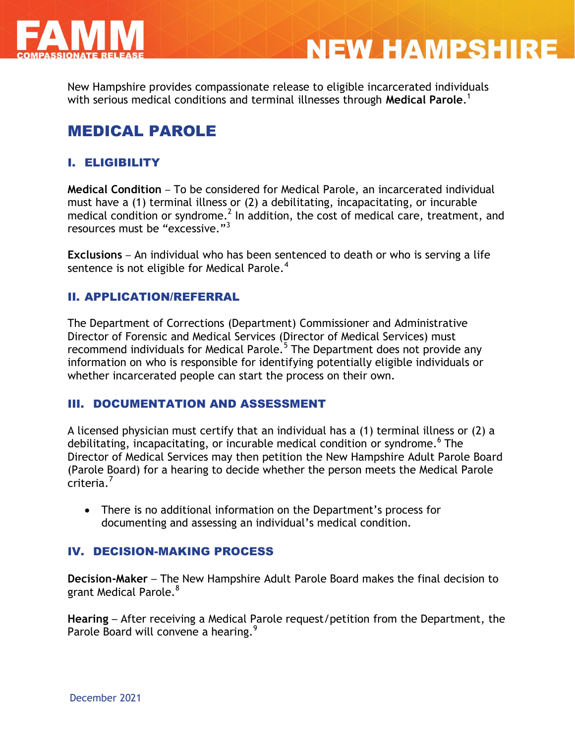

New Hampshire provides compassionate release to eligible incarcerated individuals with serious medical conditions and terminal illnesses through **Medical Parole**. 1

**NEW HAMPSHIRE** 

# MEDICAL PAROLE

## I. ELIGIBILITY

**Medical Condition** – To be considered for Medical Parole, an incarcerated individual must have a (1) terminal illness or (2) a debilitating, incapacitating, or incurable medical condition or syndrome.<sup>2</sup> In addition, the cost of medical care, treatment, and resources must be "excessive."<sup>3</sup>

**Exclusions** – An individual who has been sentenced to death or who is serving a life sentence is not eligible for Medical Parole.<sup>4</sup>

### II. APPLICATION/REFERRAL

The Department of Corrections (Department) Commissioner and Administrative Director of Forensic and Medical Services (Director of Medical Services) must recommend individuals for Medical Parole.<sup>5</sup> The Department does not provide any information on who is responsible for identifying potentially eligible individuals or whether incarcerated people can start the process on their own.

### III. DOCUMENTATION AND ASSESSMENT

A licensed physician must certify that an individual has a (1) terminal illness or (2) a debilitating, incapacitating, or incurable medical condition or syndrome. 6 The Director of Medical Services may then petition the New Hampshire Adult Parole Board (Parole Board) for a hearing to decide whether the person meets the Medical Parole criteria.<sup>7</sup>

 There is no additional information on the Department's process for documenting and assessing an individual's medical condition.

### IV. DECISION-MAKING PROCESS

**Decision-Maker** – The New Hampshire Adult Parole Board makes the final decision to grant Medical Parole.<sup>8</sup>

**Hearing** – After receiving a Medical Parole request/petition from the Department, the Parole Board will convene a hearing.<sup>9</sup>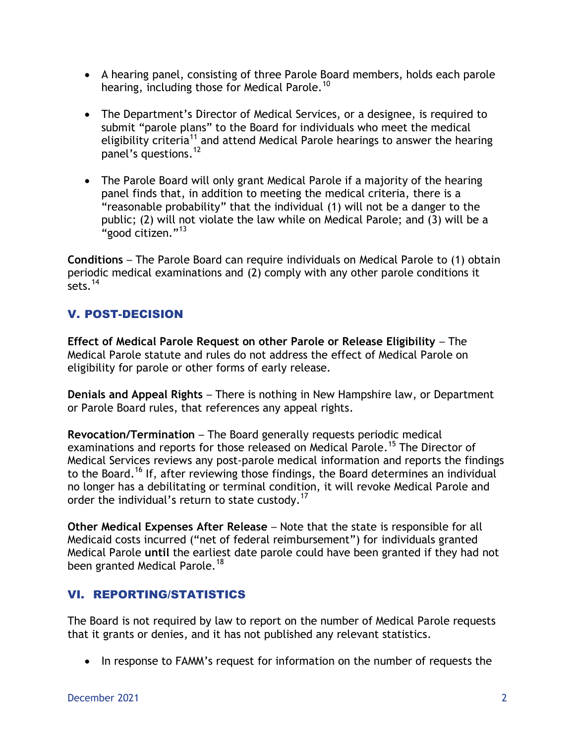- A hearing panel, consisting of three Parole Board members, holds each parole hearing, including those for Medical Parole.<sup>10</sup>
- The Department's Director of Medical Services, or a designee, is required to submit "parole plans" to the Board for individuals who meet the medical eligibility criteria<sup>11</sup> and attend Medical Parole hearings to answer the hearing panel's questions. 12
- The Parole Board will only grant Medical Parole if a majority of the hearing panel finds that, in addition to meeting the medical criteria, there is a "reasonable probability" that the individual (1) will not be a danger to the public; (2) will not violate the law while on Medical Parole; and (3) will be a "good citizen." $^{13}$

**Conditions** – The Parole Board can require individuals on Medical Parole to (1) obtain periodic medical examinations and (2) comply with any other parole conditions it sets.  $14$ 

## V. POST-DECISION

**Effect of Medical Parole Request on other Parole or Release Eligibility** – The Medical Parole statute and rules do not address the effect of Medical Parole on eligibility for parole or other forms of early release.

**Denials and Appeal Rights** – There is nothing in New Hampshire law, or Department or Parole Board rules, that references any appeal rights.

**Revocation/Termination** – The Board generally requests periodic medical examinations and reports for those released on Medical Parole.<sup>15</sup> The Director of Medical Services reviews any post-parole medical information and reports the findings to the Board.<sup>16</sup> If, after reviewing those findings, the Board determines an individual no longer has a debilitating or terminal condition, it will revoke Medical Parole and order the individual's return to state custody.<sup>17</sup>

**Other Medical Expenses After Release** – Note that the state is responsible for all Medicaid costs incurred ("net of federal reimbursement") for individuals granted Medical Parole **until** the earliest date parole could have been granted if they had not been granted Medical Parole.<sup>18</sup>

## VI. REPORTING/STATISTICS

The Board is not required by law to report on the number of Medical Parole requests that it grants or denies, and it has not published any relevant statistics.

• In response to FAMM's request for information on the number of requests the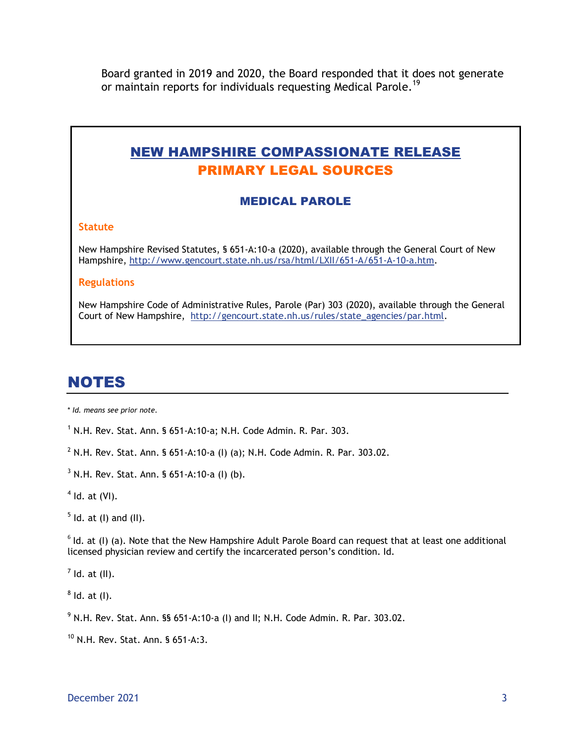Board granted in 2019 and 2020, the Board responded that it does not generate or maintain reports for individuals requesting Medical Parole.<sup>19</sup>

# NEW HAMPSHIRE COMPASSIONATE RELEASE PRIMARY LEGAL SOURCES

#### MEDICAL PAROLE

#### **Statute**

New Hampshire Revised Statutes, § 651-A:10-a (2020), available through the General Court of New Hampshire, [http://www.gencourt.state.nh.us/rsa/html/LXII/651-A/651-A-10-a.htm.](http://www.gencourt.state.nh.us/rsa/html/LXII/651-A/651-A-10-a.htm)

#### **Regulations**

New Hampshire Code of Administrative Rules, Parole (Par) 303 (2020), available through the General Court of New Hampshire, [http://gencourt.state.nh.us/rules/state\\_agencies/par.html.](http://gencourt.state.nh.us/rules/state_agencies/par.html)

# NOTES

\* *Id. means see prior note.*

 $1$  N.H. Rev. Stat. Ann. § 651-A:10-a; N.H. Code Admin. R. Par. 303.

<sup>2</sup> N.H. Rev. Stat. Ann. § 651-A:10-a (I) (a); N.H. Code Admin. R. Par. 303.02.

 $3$  N.H. Rev. Stat. Ann. § 651-A:10-a (I) (b).

 $<sup>4</sup>$  Id. at (VI).</sup>

 $<sup>5</sup>$  ld. at (I) and (II).</sup>

 $6$  Id. at (I) (a). Note that the New Hampshire Adult Parole Board can request that at least one additional licensed physician review and certify the incarcerated person's condition. Id.

 $<sup>7</sup>$  Id. at (II).</sup>

 $^8$  ld. at (l).

 $9$  N.H. Rev. Stat. Ann. §§ 651-A:10-a (I) and II; N.H. Code Admin. R. Par. 303.02.

<sup>10</sup> N.H. Rev. Stat. Ann. § 651-A:3.